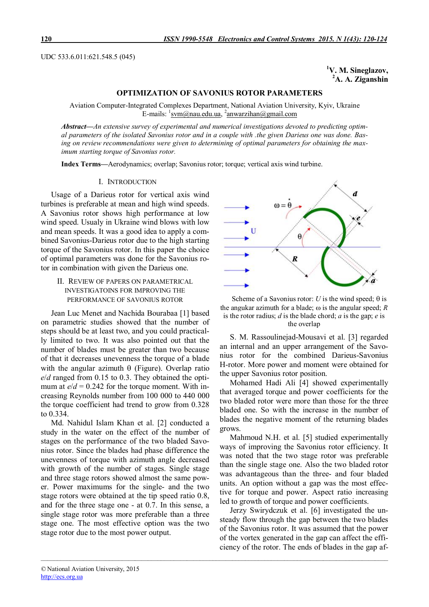UDC 533.6.011:621.548.5 (045)

**<sup>1</sup>V. M. Sineglazov, <sup>2</sup>A. A. Ziganshin**

## **OPTIMIZATION OF SAVONIUS ROTOR PARAMETERS**

Aviation Computer-Integrated Complexes Department, National Aviation University, Kyiv, Ukraine E-mails: <sup>1</sup>svm@nau.edu.ua, <sup>2</sup>anwarzihan@gmail.com

*Abstract—An extensive survey of experimental and numerical investigations devoted to predicting optimal parameters of the isolated Savonius rotor and in a couple with .the given Darieus one was done. Basing on review recommendations were given to determining of optimal parameters for obtaining the maximum starting torque of Savonius rotor.*

*\_\_\_\_\_\_\_\_\_\_\_\_\_\_\_\_\_\_\_\_\_\_\_\_\_\_\_\_\_\_\_\_\_\_\_\_\_\_\_\_\_\_\_\_\_\_\_\_\_\_\_\_\_\_\_\_\_\_\_\_\_\_\_\_\_\_\_\_\_\_\_\_\_\_\_\_\_\_\_\_\_\_\_\_\_\_\_\_\_\_\_\_\_\_\_\_\_\_\_\_\_\_\_\_\_\_\_*

**Index Terms—**Aerodynamics; overlap; Savonius rotor; torque; vertical axis wind turbine.

#### I. INTRODUCTION

Usage of a Darieus rotor for vertical axis wind turbines is preferable at mean and high wind speeds. A Savonius rotor shows high performance at low wind speed. Usualy in Ukraine wind blows with low and mean speeds. It was a good idea to apply a combined Savonius-Darieus rotor due to the high starting torque of the Savonius rotor. In this paper the choice of optimal parameters was done for the Savonius rotor in combination with given the Darieus one.

# II. REVIEW OF PAPERS ON PARAMETRICAL INVESTIGATOINS FOR IMPROVING THE PERFORMANCE OF SAVONIUS ROTOR

Jean Luc Menet and Nachida Bourabaa [1] based on parametric studies showed that the number of steps should be at least two, and you could practically limited to two. It was also pointed out that the number of blades must be greater than two because of that it decreases unevenness the torque of a blade with the angular azimuth  $\theta$  (Figure). Overlap ratio *e*/*d* ranged from 0.15 to 0.3. They obtained the optimum at  $e/d = 0.242$  for the torque moment. With increasing Reynolds number from 100 000 to 440 000 the torque coefficient had trend to grow from 0.328 to 0.334.

Md. Nahidul Islam Khan et al. [2] conducted a study in the water on the effect of the number of stages on the performance of the two bladed Savonius rotor. Since the blades had phase difference the unevenness of torque with azimuth angle decreased with growth of the number of stages. Single stage and three stage rotors showed almost the same power. Power maximums for the single- and the two stage rotors were obtained at the tip speed ratio 0.8, and for the three stage one - at 0.7. In this sense, a single stage rotor was more preferable than a three stage one. The most effective option was the two stage rotor due to the most power output.





S. M. Rassoulinejad-Mousavi et al. [3] regarded an internal and an upper arrangement of the Savonius rotor for the combined Darieus-Savonius H-rotor. More power and moment were obtained for the upper Savonius rotor position.

Mohamed Hadi Ali [4] showed experimentally that averaged torque and power coefficients for the two bladed rotor were more than those for the three bladed one. So with the increase in the number of blades the negative moment of the returning blades grows.

Mahmoud N.H. et al. [5] studied experimentally ways of improving the Savonius rotor efficiency. It was noted that the two stage rotor was preferable than the single stage one. Also the two bladed rotor was advantageous than the three- and four bladed units. An option without a gap was the most effective for torque and power. Aspect ratio increasing led to growth of torque and power coefficients.

Jerzy Swirydczuk et al. [6] investigated the unsteady flow through the gap between the two blades of the Savonius rotor. It was assumed that the power of the vortex generated in the gap can affect the efficiency of the rotor. The ends of blades in the gap af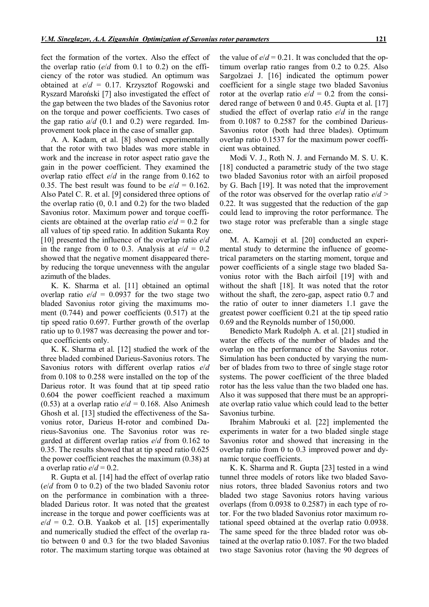fect the formation of the vortex. Also the effect of the overlap ratio (*e*/*d* from 0.1 to 0.2) on the efficiency of the rotor was studied. An optimum was obtained at *e*/*d* = 0.17. Krzysztof Rogowski and Ryszard Maroński [7] also investigated the effect of the gap between the two blades of the Savonius rotor on the torque and power coefficients. Two cases of the gap ratio  $a/d$  (0.1 and 0.2) were regarded. Improvement took place in the case of smaller gap.

A. A. Kadam, et al. [8] showed experimentally that the rotor with two blades was more stable in work and the increase in rotor aspect ratio gave the gain in the power coefficient. They examined the overlap ratio effect *e*/*d* in the range from 0.162 to 0.35. The best result was found to be  $e/d = 0.162$ . Also Patel C. R. et al. [9] considered three options of the overlap ratio (0, 0.1 and 0.2) for the two bladed Savonius rotor. Maximum power and torque coefficients are obtained at the overlap ratio  $e/d = 0.2$  for all values of tip speed ratio. In addition Sukanta Roy [10] presented the influence of the overlap ratio *e*/*d* in the range from 0 to 0.3. Analysis at  $e/d = 0.2$ showed that the negative moment disappeared thereby reducing the torque unevenness with the angular azimuth of the blades.

K. K. Sharma et al. [11] obtained an optimal overlap ratio  $e/d = 0.0937$  for the two stage two bladed Savonius rotor giving the maximums moment (0.744) and power coefficients (0.517) at the tip speed ratio 0.697. Further growth of the overlap ratio up to 0.1987 was decreasing the power and torque coefficients only.

K. K. Sharma et al. [12] studied the work of the three bladed combined Darieus-Savonius rotors. The Savonius rotors with different overlap ratios *e*/*d* from 0.108 to 0.258 were installed on the top of the Darieus rotor. It was found that at tip speed ratio 0.604 the power coefficient reached a maximum  $(0.53)$  at a overlap ratio  $e/d = 0.168$ . Also Animesh Ghosh et al. [13] studied the effectiveness of the Savonius rotor, Darieus H-rotor and combined Darieus-Savonius one. The Savonius rotor was regarded at different overlap ratios *e*/*d* from 0.162 to 0.35. The results showed that at tip speed ratio 0.625 the power coefficient reaches the maximum (0.38) at a overlap ratio  $e/d = 0.2$ .

R. Gupta et al. [14] had the effect of overlap ratio (*e*/*d* from 0 to 0.2) of the two bladed Savoniu rotor on the performance in combination with a threebladed Darieus rotor. It was noted that the greatest increase in the torque and power coefficients was at  $e/d = 0.2$ . O.B. Yaakob et al. [15] experimentally and numerically studied the effect of the overlap ratio between 0 and 0.3 for the two bladed Savonius rotor. The maximum starting torque was obtained at the value of  $e/d = 0.21$ . It was concluded that the optimum overlap ratio ranges from 0.2 to 0.25. Also Sargolzaei J. [16] indicated the optimum power coefficient for a single stage two bladed Savonius rotor at the overlap ratio  $e/d = 0.2$  from the considered range of between 0 and 0.45. Gupta et al. [17] studied the effect of overlap ratio *e*/*d* in the range from 0.1087 to 0.2587 for the combined Darieus-Savonius rotor (both had three blades). Optimum overlap ratio 0.1537 for the maximum power coefficient was obtained.

Modi V. J., Roth N. J. and Fernando M. S. U. K. [18] conducted a parametric study of the two stage two bladed Savonius rotor with an airfoil proposed by G. Bach [19]. It was noted that the improvement of the rotor was observed for the overlap ratio *e*/*d* > 0.22. It was suggested that the reduction of the gap could lead to improving the rotor performance. The two stage rotor was preferable than a single stage one.

M. A. Kamoji et al. [20] conducted an experimental study to determine the influence of geometrical parameters on the starting moment, torque and power coefficients of a single stage two bladed Savonius rotor with the Bach airfoil [19] with and without the shaft [18]. It was noted that the rotor without the shaft, the zero-gap, aspect ratio 0.7 and the ratio of outer to inner diameters 1.1 gave the greatest power coefficient 0.21 at the tip speed ratio 0.69 and the Reynolds number of 150,000.

Benedicto Mark Rudolph A. et al. [21] studied in water the effects of the number of blades and the overlap on the performance of the Savonius rotor. Simulation has been conducted by varying the number of blades from two to three of single stage rotor systems. The power coefficient of the three bladed rotor has the less value than the two bladed one has. Also it was supposed that there must be an appropriate overlap ratio value which could lead to the better Savonius turbine.

Ibrahim Mabrouki et al. [22] implemented the experiments in water for a two bladed single stage Savonius rotor and showed that increasing in the overlap ratio from 0 to 0.3 improved power and dynamic torque coefficients.

K. K. Sharma and R. Gupta [23] tested in a wind tunnel three models of rotors like two bladed Savonius rotors, three bladed Savonius rotors and two bladed two stage Savonius rotors having various overlaps (from 0.0938 to 0.2587) in each type of rotor. For the two bladed Savonius rotor maximum rotational speed obtained at the overlap ratio 0.0938. The same speed for the three bladed rotor was obtained at the overlap ratio 0.1087. For the two bladed two stage Savonius rotor (having the 90 degrees of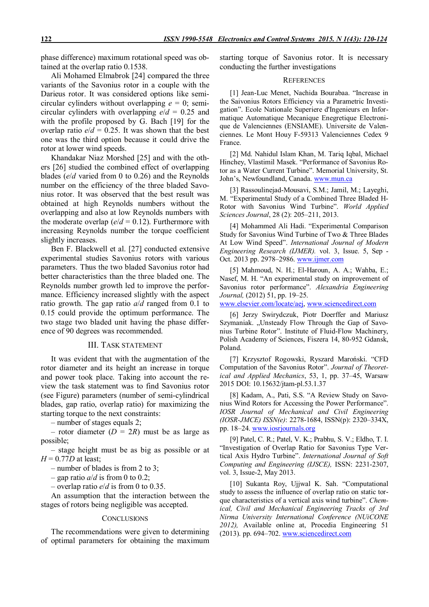phase difference) maximum rotational speed was obtained at the overlap ratio 0.1538.

Ali Mohamed Elmabrok [24] compared the three variants of the Savonius rotor in a couple with the Darieus rotor. It was considered options like semicircular cylinders without overlapping *e* = 0; semicircular cylinders with overlapping *e*/*d* = 0.25 and with the profile proposed by G. Bach [19] for the overlap ratio  $e/d = 0.25$ . It was shown that the best one was the third option because it could drive the rotor at lower wind speeds.

Khandakar Niaz Morshed [25] and with the others [26] studied the combined effect of overlapping blades (*e*/*d* varied from 0 to 0.26) and the Reynolds number on the efficiency of the three bladed Savonius rotor. It was observed that the best result was obtained at high Reynolds numbers without the overlapping and also at low Reynolds numbers with the moderate overlap ( $e/d = 0.12$ ). Furthermore with increasing Reynolds number the torque coefficient slightly increases.

Ben F. Blackwell et al. [27] conducted extensive experimental studies Savonius rotors with various parameters. Thus the two bladed Savonius rotor had better characteristics than the three bladed one. The Reynolds number growth led to improve the performance. Efficiency increased slightly with the aspect ratio growth. The gap ratio *a*/*d* ranged from 0.1 to 0.15 could provide the optimum performance. The two stage two bladed unit having the phase difference of 90 degrees was recommended.

# III. TASK STATEMENT

It was evident that with the augmentation of the rotor diameter and its height an increase in torque and power took place. Taking into account the review the task statement was to find Savonius rotor (see Figure) parameters (number of semi-cylindrical blades, gap ratio, overlap ratio) for maximizing the starting torque to the next constraints:

– number of stages equals 2;

– rotor diameter  $(D = 2R)$  must be as large as possible;

– stage height must be as big as possible or at  $H = 0.77D$  at least;

– number of blades is from 2 to 3;

– gap ratio  $a/d$  is from 0 to 0.2;

– overlap ratio *e*/*d* is from 0 to 0.35.

An assumption that the interaction between the stages of rotors being negligible was accepted.

### **CONCLUSIONS**

The recommendations were given to determining of optimal parameters for obtaining the maximum starting torque of Savonius rotor. It is necessary conducting the further investigations

## **REFERENCES**

[1] Jean-Luc Menet, Nachida Bourabaa. "Increase in the Saivonius Rotors Efficiency via a Parametric Investigation". Ecole Nationale Superiere d'Ingenieurs en Informatique Automatique Mecanique Enegretique Electronique de Valenciennes (ENSIAME). Universite de Valenciennes. Le Mont Houy F-59313 Valenciennes Cedex 9 France.

[2] Md. Nahidul Islam Khan, M. Tariq Iqbal, Michael Hinchey, Vlastimil Masek. "Performance of Savonius Rotor as a Water Current Turbine". Memorial University, St. John's, Newfoundland, Canada. www.mun.ca

[3] Rassoulinejad-Mousavi, S.M.; Jamil, M.; Layeghi, M. "Experimental Study of a Combined Three Bladed H-Rotor with Savonius Wind Turbine". *World Applied Sciences Journal*, 28 (2): 205–211, 2013.

[4] Mohammed Ali Hadi. "Experimental Comparison Study for Savonius Wind Turbine of Two & Three Blades At Low Wind Speed". *International Journal of Modern Engineering Research (IJMER).* vol. 3, Issue. 5, Sep - Oct. 2013 pp. 2978–2986. www.ijmer.com

[5] Mahmoud, N. H.; El-Haroun, A. A.; Wahba, E.; Nasef, M. H. "An experimental study on improvement of Savonius rotor performance". *Alexandria Engineering Journal,* (2012) 51, pp. 19–25.

www.elsevier.com/locate/aej, www.sciencedirect.com

[6] Jerzy Swirydczuk, Piotr Doerffer and Mariusz Szymaniak. "Unsteady Flow Through the Gap of Savonius Turbine Rotor". Institute of Fluid-Flow Machinery, Polish Academy of Sciences, Fiszera 14, 80-952 Gdansk, Poland.

[7] Krzysztof Rogowski, Ryszard Maroński. "CFD Computation of the Savonius Rotor". *Journal of Theoretical and Applied Mechanics*, 53, 1, pp. 37–45, Warsaw 2015 DOI: 10.15632/jtam-pl.53.1.37

[8] Kadam, A., Pati, S.S. "A Review Study on Savonius Wind Rotors for Accessing the Power Performance". *IOSR Journal of Mechanical and Civil Engineering (IOSR-JMCE) ISSN(e)*: 2278-1684, ISSN(p): 2320–334X, pp. 18–24. www.iosrjournals.org

[9] Patel, C. R.; Patel, V. K.; Prabhu, S. V.; Eldho, T. I. "Investigation of Overlap Ratio for Savonius Type Vertical Axis Hydro Turbine". *International Journal of Soft Computing and Engineering (IJSCE),* ISSN: 2231-2307, vol. 3, Issue-2, May 2013.

[10] Sukanta Roy, Ujjwal K. Sah. "Computational study to assess the influence of overlap ratio on static torque characteristics of a vertical axis wind turbine". *Chemical, Civil and Mechanical Engineering Tracks of 3rd Nirma University International Conference (NUiCONE 2012),* Available online at, Procedia Engineering 51 (2013). pp. 694–702. www.sciencedirect.com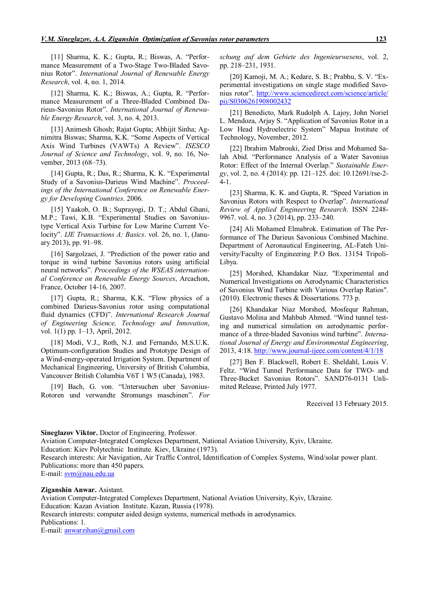[11] Sharma, K. K.; Gupta, R.; Biswas, A. "Performance Measurement of a Two-Stage Two-Bladed Savonius Rotor". *International Journal of Renewable Energy Research*, vol. 4, no. 1, 2014.

[12] Sharma, K. K.; Biswas, A.; Gupta, R. "Performance Measurement of a Three-Bladed Combined Darieus-Savonius Rotor". *International Journal of Renewable Energy Research*, vol. 3, no. 4, 2013.

[13] Animesh Ghosh; Rajat Gupta; Abhijit Sinha; Agnimitra Biswas; Sharma, K.K. "Some Aspects of Vertical Axis Wind Turbines (VAWTs) A Review". *ISESCO Journal of Science and Technology*, vol. 9, no. 16, November, 2013 (68–73).

[14] Gupta, R.; Das, R.; Sharma, K. K. "Experimental Study of a Savonius-Darieus Wind Machine". *Proceedings of the International Conference on Renewable Energy for Developing Countries*. 2006.

[15] Yaakob, O. B.; Suprayogi, D. T.; Abdul Ghani, M.P.; Tawi, K.B. "Experimental Studies on Savoniustype Vertical Axis Turbine for Low Marine Current Velocity". *IJE Transactions A: Basics*. vol. 26, no. 1, (January 2013), pp. 91–98.

[16] Sargolzaei, J. "Prediction of the power ratio and torque in wind turbine Savonius rotors using artificial neural networks". *Proceedings of the WSEAS international Conference on Renewable Energy Sources*, Arcachon, France, October 14-16, 2007.

[17] Gupta, R.; Sharma, K.K. "Flow physics of a combined Darieus-Savonius rotor using computational fluid dynamics (CFD)". *International Research Journal of Engineering Science, Technology and Innovation*, vol. 1(1) pp. 1–13, April, 2012.

[18] Modi, V.J., Roth, N.J. and Fernando, M.S.U.K. Optimum-configuration Studies and Prototype Design of a Wind-energy-operated Irrigation System. Department of Mechanical Engineering, University of British Columbia, Vancouver British Columbia V6T 1 W5 (Canada), 1983.

[19] Bach, G. von. "Untersuchen uber Savonius-Rotoren und verwandte Stromungs maschinen". *For* *schung auf dem Gebiete des Ingenieurwesens*, vol. 2, pp. 218–231, 1931.

[20] Kamoji, M. A.; Kedare, S. B.; Prabhu, S. V. "Experimental investigations on single stage modified Savonius rotor". http://www.sciencedirect.com/science/article/ pii/S0306261908002432

[21] Benedicto, Mark Rudolph A. Lajoy, John Noriel L. Mendoza, Arjay S. "Application of Savonius Rotor in a Low Head Hydroelectric System" Mapua Institute of Technology, November, 2012.

[22] Ibrahim Mabrouki, Zied Driss and Mohamed Salah Abid. "Performance Analysis of a Water Savonius Rotor: Effect of the Internal Overlap." *Sustainable Energy*, vol. 2, no. 4 (2014): pp. 121–125. doi: 10.12691/rse-2- 4-1.

[23] Sharma, K. K. and Gupta, R. "Speed Variation in Savonius Rotors with Respect to Overlap". *International Review of Applied Engineering Research*. ISSN 2248- 9967. vol. 4, no. 3 (2014), pp. 233–240.

[24] Ali Mohamed Elmabrok. Estimation of The Performance of The Darieus Savonious Combined Machine. Department of Aeronautical Engineering, AL-Fateh University/Faculty of Engineering P.O Box. 13154 Tripoli-Libya.

[25] Morshed, Khandakar Niaz. "Experimental and Numerical Investigations on Aerodynamic Characteristics of Savonius Wind Turbine with Various Overlap Ratios". (2010). Electronic theses & Dissertations. 773 p.

[26] Khandakar Niaz Morshed, Mosfequr Rahman, Gustavo Molina and Mahbub Ahmed. "Wind tunnel testing and numerical simulation on aerodynamic performance of a three-bladed Savonius wind turbine". *International Journal of Energy and Environmental Engineering*, 2013, 4:18. http://www.journal-ijeee.com/content/4/1/18

[27] Ben F. Blackwell, Robert E. Sheldahl, Louis V. Feltz. "Wind Tunnel Performance Data for TWO- and Three-Bucket Savonius Rotors". SAND76-0131 Unlimited Release, Printed July 1977.

Received 13 February 2015.

**Sineglazov Viktor.** Doctor of Engineering. Professor.

Aviation Computer-Integrated Complexes Department, National Aviation University, Kyiv, Ukraine. Education: Kiev Polytechnic Institute. Kiev, Ukraine (1973).

Research interests: Air Navigation, Air Traffic Control, Identification of Complex Systems, Wind/solar power plant. Publications: more than 450 papers.

E-mail: svm@nau.edu.ua

**Ziganshin Anwar.** Asistant.

Aviation Computer-Integrated Complexes Department, National Aviation University, Kyiv, Ukraine. Education: Kazan Aviation Institute. Kazan, Russia (1978). Research interests: computer aided design systems, numerical methods in aerodynamics. Publications: 1. E-mail: anwarzihan@gmail.com